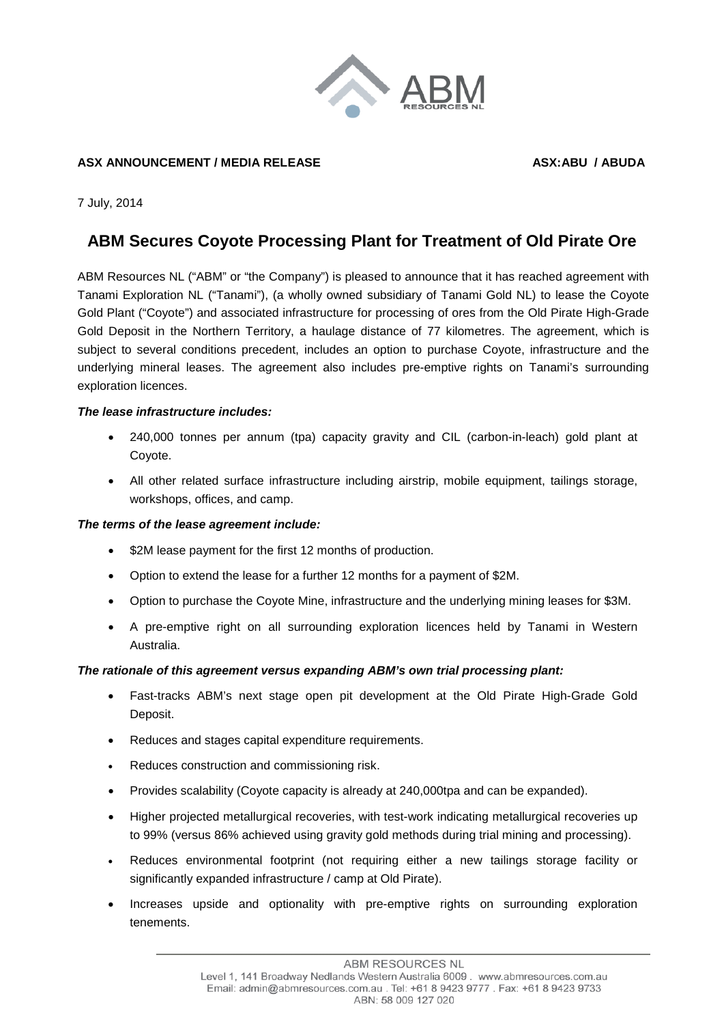

## ASX ANNOUNCEMENT / MEDIA RELEASE **ASX:ABU / ABUDA**

7 July, 2014

# **ABM Secures Coyote Processing Plant for Treatment of Old Pirate Ore**

ABM Resources NL ("ABM" or "the Company") is pleased to announce that it has reached agreement with Tanami Exploration NL ("Tanami"), (a wholly owned subsidiary of Tanami Gold NL) to lease the Coyote Gold Plant ("Coyote") and associated infrastructure for processing of ores from the Old Pirate High-Grade Gold Deposit in the Northern Territory, a haulage distance of 77 kilometres. The agreement, which is subject to several conditions precedent, includes an option to purchase Coyote, infrastructure and the underlying mineral leases. The agreement also includes pre-emptive rights on Tanami's surrounding exploration licences.

#### *The lease infrastructure includes:*

- 240,000 tonnes per annum (tpa) capacity gravity and CIL (carbon-in-leach) gold plant at Coyote.
- All other related surface infrastructure including airstrip, mobile equipment, tailings storage, workshops, offices, and camp.

## *The terms of the lease agreement include:*

- \$2M lease payment for the first 12 months of production.
- Option to extend the lease for a further 12 months for a payment of \$2M.
- Option to purchase the Coyote Mine, infrastructure and the underlying mining leases for \$3M.
- A pre-emptive right on all surrounding exploration licences held by Tanami in Western Australia.

## *The rationale of this agreement versus expanding ABM's own trial processing plant:*

- Fast-tracks ABM's next stage open pit development at the Old Pirate High-Grade Gold Deposit.
- Reduces and stages capital expenditure requirements.
- Reduces construction and commissioning risk.
- Provides scalability (Coyote capacity is already at 240,000tpa and can be expanded).
- Higher projected metallurgical recoveries, with test-work indicating metallurgical recoveries up to 99% (versus 86% achieved using gravity gold methods during trial mining and processing).
- Reduces environmental footprint (not requiring either a new tailings storage facility or significantly expanded infrastructure / camp at Old Pirate).
- Increases upside and optionality with pre-emptive rights on surrounding exploration tenements.

**ABM RESOURCES NL**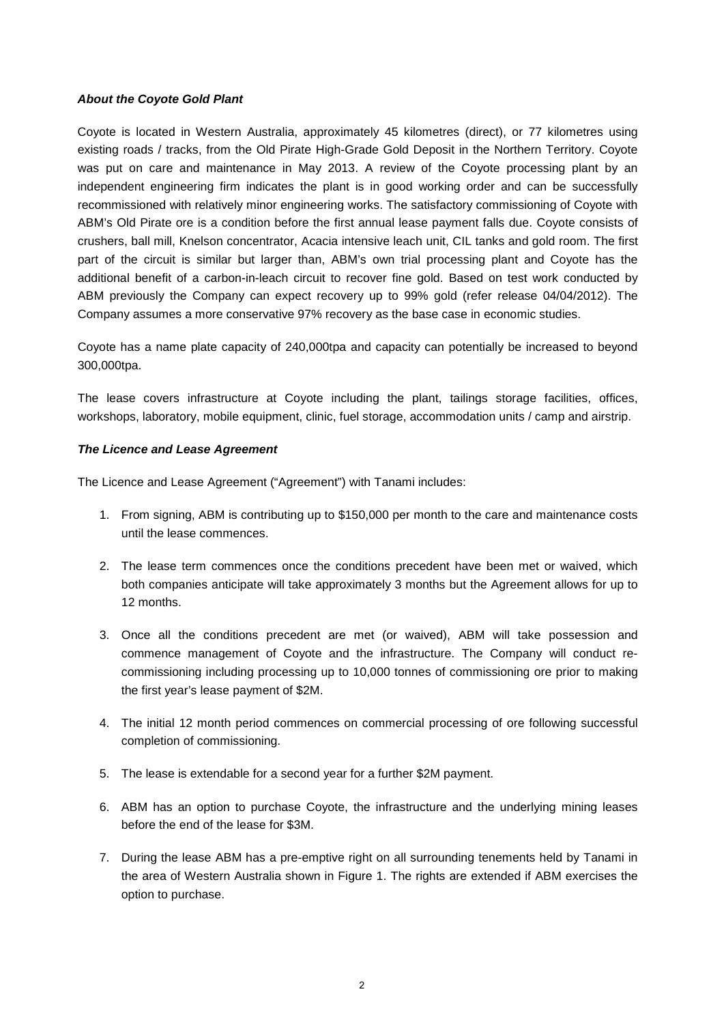### *About the Coyote Gold Plant*

Coyote is located in Western Australia, approximately 45 kilometres (direct), or 77 kilometres using existing roads / tracks, from the Old Pirate High-Grade Gold Deposit in the Northern Territory. Coyote was put on care and maintenance in May 2013. A review of the Coyote processing plant by an independent engineering firm indicates the plant is in good working order and can be successfully recommissioned with relatively minor engineering works. The satisfactory commissioning of Coyote with ABM's Old Pirate ore is a condition before the first annual lease payment falls due. Coyote consists of crushers, ball mill, Knelson concentrator, Acacia intensive leach unit, CIL tanks and gold room. The first part of the circuit is similar but larger than, ABM's own trial processing plant and Coyote has the additional benefit of a carbon-in-leach circuit to recover fine gold. Based on test work conducted by ABM previously the Company can expect recovery up to 99% gold (refer release 04/04/2012). The Company assumes a more conservative 97% recovery as the base case in economic studies.

Coyote has a name plate capacity of 240,000tpa and capacity can potentially be increased to beyond 300,000tpa.

The lease covers infrastructure at Coyote including the plant, tailings storage facilities, offices, workshops, laboratory, mobile equipment, clinic, fuel storage, accommodation units / camp and airstrip.

#### *The Licence and Lease Agreement*

The Licence and Lease Agreement ("Agreement") with Tanami includes:

- 1. From signing, ABM is contributing up to \$150,000 per month to the care and maintenance costs until the lease commences.
- 2. The lease term commences once the conditions precedent have been met or waived, which both companies anticipate will take approximately 3 months but the Agreement allows for up to 12 months.
- 3. Once all the conditions precedent are met (or waived), ABM will take possession and commence management of Coyote and the infrastructure. The Company will conduct recommissioning including processing up to 10,000 tonnes of commissioning ore prior to making the first year's lease payment of \$2M.
- 4. The initial 12 month period commences on commercial processing of ore following successful completion of commissioning.
- 5. The lease is extendable for a second year for a further \$2M payment.
- 6. ABM has an option to purchase Coyote, the infrastructure and the underlying mining leases before the end of the lease for \$3M.
- 7. During the lease ABM has a pre-emptive right on all surrounding tenements held by Tanami in the area of Western Australia shown in Figure 1. The rights are extended if ABM exercises the option to purchase.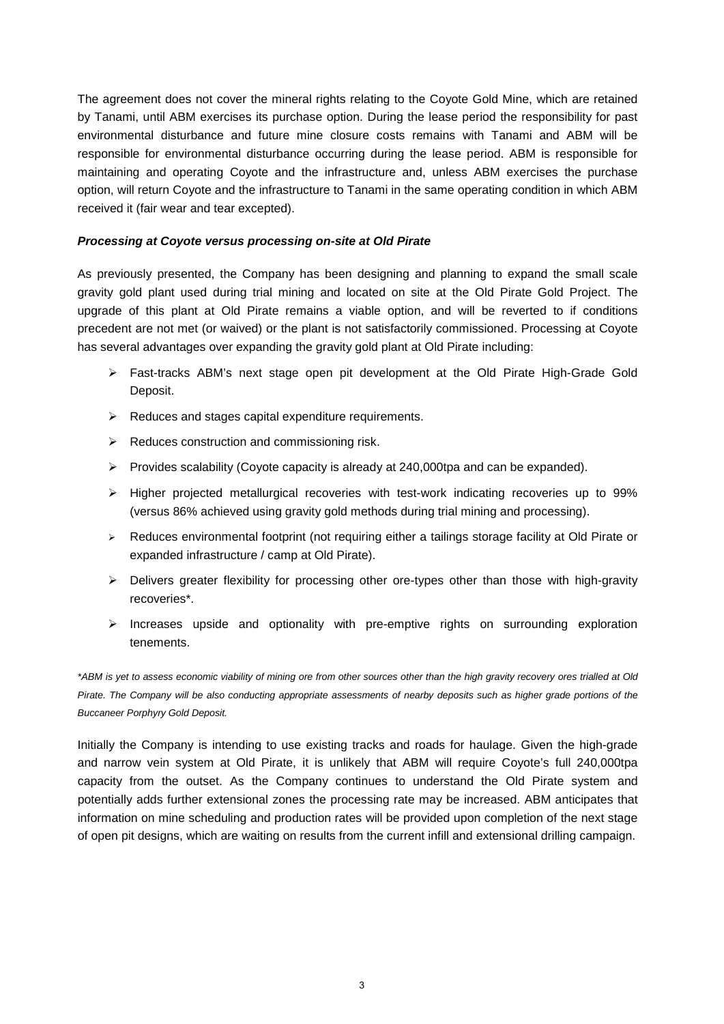The agreement does not cover the mineral rights relating to the Coyote Gold Mine, which are retained by Tanami, until ABM exercises its purchase option. During the lease period the responsibility for past environmental disturbance and future mine closure costs remains with Tanami and ABM will be responsible for environmental disturbance occurring during the lease period. ABM is responsible for maintaining and operating Coyote and the infrastructure and, unless ABM exercises the purchase option, will return Coyote and the infrastructure to Tanami in the same operating condition in which ABM received it (fair wear and tear excepted).

### *Processing at Coyote versus processing on-site at Old Pirate*

As previously presented, the Company has been designing and planning to expand the small scale gravity gold plant used during trial mining and located on site at the Old Pirate Gold Project. The upgrade of this plant at Old Pirate remains a viable option, and will be reverted to if conditions precedent are not met (or waived) or the plant is not satisfactorily commissioned. Processing at Coyote has several advantages over expanding the gravity gold plant at Old Pirate including:

- Fast-tracks ABM's next stage open pit development at the Old Pirate High-Grade Gold Deposit.
- $\triangleright$  Reduces and stages capital expenditure requirements.
- $\triangleright$  Reduces construction and commissioning risk.
- $\triangleright$  Provides scalability (Coyote capacity is already at 240,000tpa and can be expanded).
- $\triangleright$  Higher projected metallurgical recoveries with test-work indicating recoveries up to 99% (versus 86% achieved using gravity gold methods during trial mining and processing).
- ▶ Reduces environmental footprint (not requiring either a tailings storage facility at Old Pirate or expanded infrastructure / camp at Old Pirate).
- $\triangleright$  Delivers greater flexibility for processing other ore-types other than those with high-gravity recoveries\*.
- $\geq$  Increases upside and optionality with pre-emptive rights on surrounding exploration tenements.

*\*ABM is yet to assess economic viability of mining ore from other sources other than the high gravity recovery ores trialled at Old Pirate. The Company will be also conducting appropriate assessments of nearby deposits such as higher grade portions of the Buccaneer Porphyry Gold Deposit.* 

Initially the Company is intending to use existing tracks and roads for haulage. Given the high-grade and narrow vein system at Old Pirate, it is unlikely that ABM will require Coyote's full 240,000tpa capacity from the outset. As the Company continues to understand the Old Pirate system and potentially adds further extensional zones the processing rate may be increased. ABM anticipates that information on mine scheduling and production rates will be provided upon completion of the next stage of open pit designs, which are waiting on results from the current infill and extensional drilling campaign.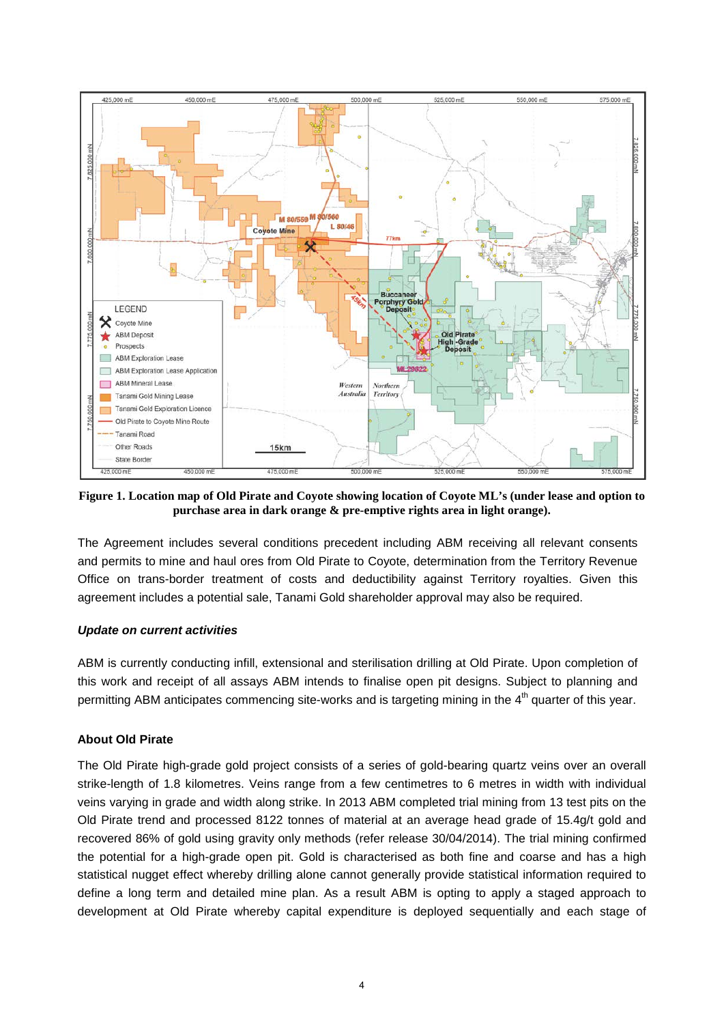

**Figure 1. Location map of Old Pirate and Coyote showing location of Coyote ML's (under lease and option to purchase area in dark orange & pre-emptive rights area in light orange).** 

The Agreement includes several conditions precedent including ABM receiving all relevant consents and permits to mine and haul ores from Old Pirate to Coyote, determination from the Territory Revenue Office on trans-border treatment of costs and deductibility against Territory royalties. Given this agreement includes a potential sale, Tanami Gold shareholder approval may also be required.

## *Update on current activities*

ABM is currently conducting infill, extensional and sterilisation drilling at Old Pirate. Upon completion of this work and receipt of all assays ABM intends to finalise open pit designs. Subject to planning and permitting ABM anticipates commencing site-works and is targeting mining in the 4<sup>th</sup> quarter of this year.

## **About Old Pirate**

The Old Pirate high-grade gold project consists of a series of gold-bearing quartz veins over an overall strike-length of 1.8 kilometres. Veins range from a few centimetres to 6 metres in width with individual veins varying in grade and width along strike. In 2013 ABM completed trial mining from 13 test pits on the Old Pirate trend and processed 8122 tonnes of material at an average head grade of 15.4g/t gold and recovered 86% of gold using gravity only methods (refer release 30/04/2014). The trial mining confirmed the potential for a high-grade open pit. Gold is characterised as both fine and coarse and has a high statistical nugget effect whereby drilling alone cannot generally provide statistical information required to define a long term and detailed mine plan. As a result ABM is opting to apply a staged approach to development at Old Pirate whereby capital expenditure is deployed sequentially and each stage of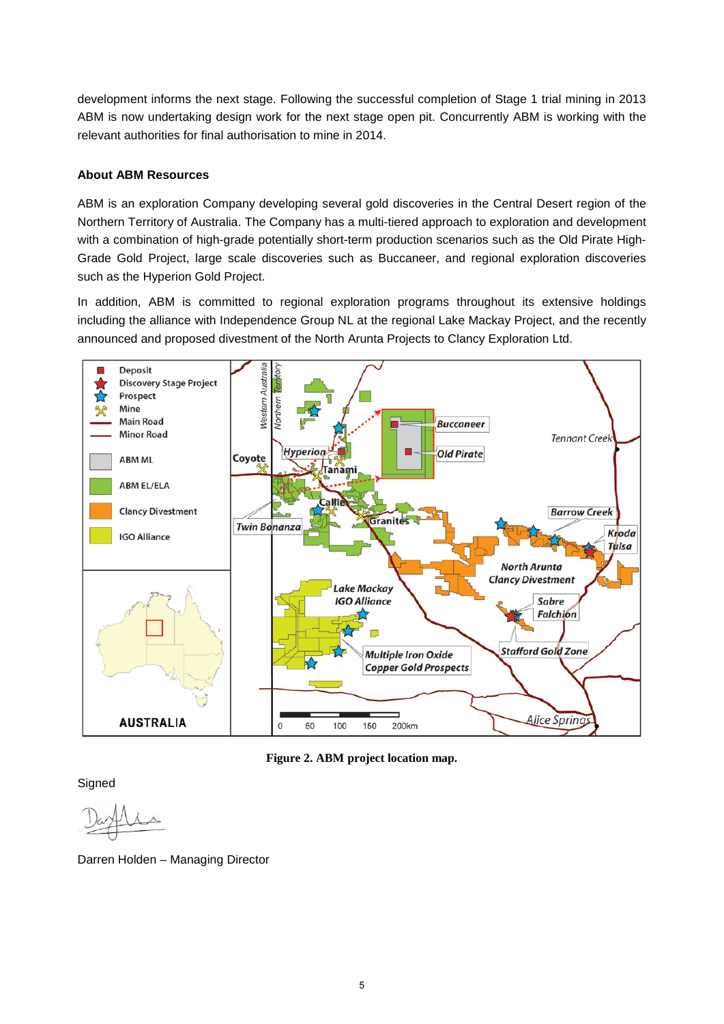development informs the next stage. Following the successful completion of Stage 1 trial mining in 2013 ABM is now undertaking design work for the next stage open pit. Concurrently ABM is working with the relevant authorities for final authorisation to mine in 2014.

## **About ABM Resources**

ABM is an exploration Company developing several gold discoveries in the Central Desert region of the Northern Territory of Australia. The Company has a multi-tiered approach to exploration and development with a combination of high-grade potentially short-term production scenarios such as the Old Pirate High-Grade Gold Project, large scale discoveries such as Buccaneer, and regional exploration discoveries such as the Hyperion Gold Project.

In addition, ABM is committed to regional exploration programs throughout its extensive holdings including the alliance with Independence Group NL at the regional Lake Mackay Project, and the recently announced and proposed divestment of the North Arunta Projects to Clancy Exploration Ltd.



**Figure 2. ABM project location map.**

**Signed** 

Darren Holden – Managing Director